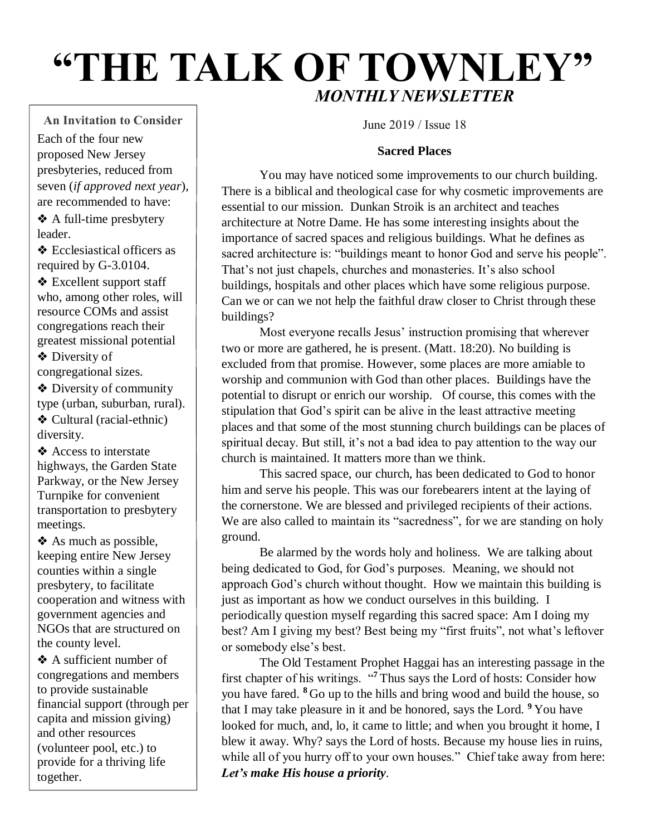# **"THE TALK OF TOWNLEY"** *MONTHLY NEWSLETTER*

**An Invitation to Consider** Each of the four new proposed New Jersey presbyteries, reduced from seven (*if approved next year*), are recommended to have:

❖ A full-time presbytery leader.

❖ Ecclesiastical officers as required by G-3.0104.

❖ Excellent support staff who, among other roles, will resource COMs and assist congregations reach their greatest missional potential

❖ Diversity of congregational sizes.

❖ Diversity of community type (urban, suburban, rural). ❖ Cultural (racial-ethnic) diversity.

❖ Access to interstate highways, the Garden State Parkway, or the New Jersey Turnpike for convenient transportation to presbytery meetings.

❖ As much as possible, keeping entire New Jersey counties within a single presbytery, to facilitate cooperation and witness with government agencies and NGOs that are structured on the county level.

❖ A sufficient number of congregations and members to provide sustainable financial support (through per capita and mission giving) and other resources (volunteer pool, etc.) to provide for a thriving life together.

June 2019 / Issue 18

## **Sacred Places**

You may have noticed some improvements to our church building. There is a biblical and theological case for why cosmetic improvements are essential to our mission. Dunkan Stroik is an architect and teaches architecture at Notre Dame. He has some interesting insights about the importance of sacred spaces and religious buildings. What he defines as sacred architecture is: "buildings meant to honor God and serve his people". That's not just chapels, churches and monasteries. It's also school buildings, hospitals and other places which have some religious purpose. Can we or can we not help the faithful draw closer to Christ through these buildings?

Most everyone recalls Jesus' instruction promising that wherever two or more are gathered, he is present. (Matt. 18:20). No building is excluded from that promise. However, some places are more amiable to worship and communion with God than other places. Buildings have the potential to disrupt or enrich our worship. Of course, this comes with the stipulation that God's spirit can be alive in the least attractive meeting places and that some of the most stunning church buildings can be places of spiritual decay. But still, it's not a bad idea to pay attention to the way our church is maintained. It matters more than we think.

This sacred space, our church, has been dedicated to God to honor him and serve his people. This was our forebearers intent at the laying of the cornerstone. We are blessed and privileged recipients of their actions. We are also called to maintain its "sacredness", for we are standing on holy ground.

Be alarmed by the words holy and holiness. We are talking about being dedicated to God, for God's purposes. Meaning, we should not approach God's church without thought. How we maintain this building is just as important as how we conduct ourselves in this building. I periodically question myself regarding this sacred space: Am I doing my best? Am I giving my best? Best being my "first fruits", not what's leftover or somebody else's best.

The Old Testament Prophet Haggai has an interesting passage in the first chapter of his writings. "**<sup>7</sup>** Thus says the Lord of hosts: Consider how you have fared. **<sup>8</sup>** Go up to the hills and bring wood and build the house, so that I may take pleasure in it and be honored, says the Lord. **<sup>9</sup>** You have looked for much, and, lo, it came to little; and when you brought it home, I blew it away. Why? says the Lord of hosts. Because my house lies in ruins, while all of you hurry off to your own houses." Chief take away from here: *Let's make His house a priority*.